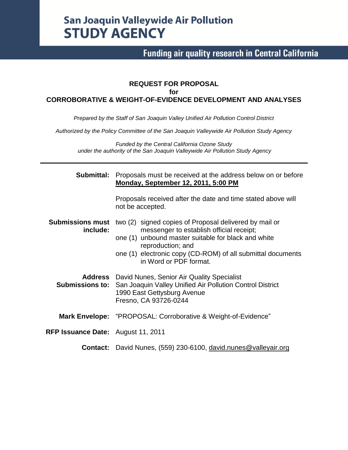# **San Joaquin Valleywide Air Pollution STUDY AGENCY**

# **Funding air quality research in Central California**

#### **REQUEST FOR PROPOSAL for CORROBORATIVE & WEIGHT-OF-EVIDENCE DEVELOPMENT AND ANALYSES**

*Prepared by the Staff of San Joaquin Valley Unified Air Pollution Control District*

*Authorized by the Policy Committee of the San Joaquin Valleywide Air Pollution Study Agency*

*Funded by the Central California Ozone Study under the authority of the San Joaquin Valleywide Air Pollution Study Agency*

| Submittal:                          | Proposals must be received at the address below on or before<br><b>Monday, September 12, 2011, 5:00 PM</b>                                                                                                                                                              |  |  |  |  |  |
|-------------------------------------|-------------------------------------------------------------------------------------------------------------------------------------------------------------------------------------------------------------------------------------------------------------------------|--|--|--|--|--|
|                                     | Proposals received after the date and time stated above will<br>not be accepted.                                                                                                                                                                                        |  |  |  |  |  |
| <b>Submissions must</b><br>include: | two (2) signed copies of Proposal delivered by mail or<br>messenger to establish official receipt;<br>one (1) unbound master suitable for black and white<br>reproduction; and<br>one (1) electronic copy (CD-ROM) of all submittal documents<br>in Word or PDF format. |  |  |  |  |  |
|                                     | <b>Address</b> David Nunes, Senior Air Quality Specialist<br><b>Submissions to:</b> San Joaquin Valley Unified Air Pollution Control District<br>1990 East Gettysburg Avenue<br>Fresno, CA 93726-0244                                                                   |  |  |  |  |  |
|                                     | Mark Envelope: "PROPOSAL: Corroborative & Weight-of-Evidence"                                                                                                                                                                                                           |  |  |  |  |  |
| RFP Issuance Date: August 11, 2011  |                                                                                                                                                                                                                                                                         |  |  |  |  |  |
|                                     | <b>Contact:</b> David Nunes, (559) 230-6100, david nunes@valleyair.org                                                                                                                                                                                                  |  |  |  |  |  |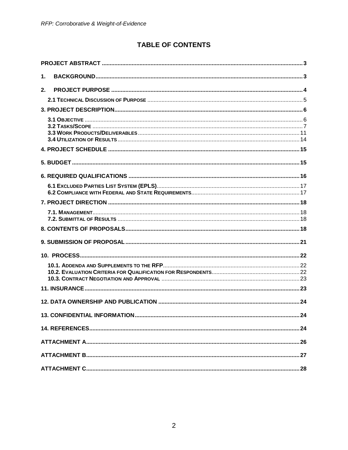## **TABLE OF CONTENTS**

| 1. |  |
|----|--|
| 2. |  |
|    |  |
|    |  |
|    |  |
|    |  |
|    |  |
|    |  |
|    |  |
|    |  |
|    |  |
|    |  |
|    |  |
|    |  |
|    |  |
|    |  |
|    |  |
|    |  |
|    |  |
|    |  |
|    |  |
|    |  |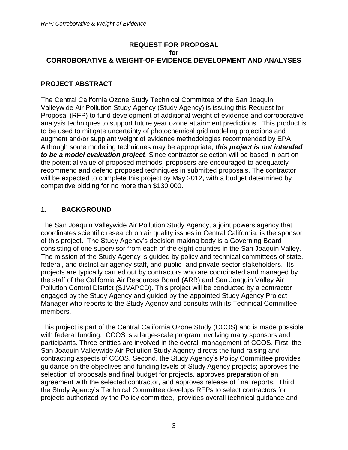#### **REQUEST FOR PROPOSAL for CORROBORATIVE & WEIGHT-OF-EVIDENCE DEVELOPMENT AND ANALYSES**

## <span id="page-2-0"></span>**PROJECT ABSTRACT**

The Central California Ozone Study Technical Committee of the San Joaquin Valleywide Air Pollution Study Agency (Study Agency) is issuing this Request for Proposal (RFP) to fund development of additional weight of evidence and corroborative analysis techniques to support future year ozone attainment predictions. This product is to be used to mitigate uncertainty of photochemical grid modeling projections and augment and/or supplant weight of evidence methodologies recommended by EPA. Although some modeling techniques may be appropriate, *this project is not intended to be a model evaluation project*. Since contractor selection will be based in part on the potential value of proposed methods, proposers are encouraged to adequately recommend and defend proposed techniques in submitted proposals. The contractor will be expected to complete this project by May 2012, with a budget determined by competitive bidding for no more than \$130,000.

## <span id="page-2-1"></span>**1. BACKGROUND**

The San Joaquin Valleywide Air Pollution Study Agency, a joint powers agency that coordinates scientific research on air quality issues in Central California, is the sponsor of this project. The Study Agency's decision-making body is a Governing Board consisting of one supervisor from each of the eight counties in the San Joaquin Valley. The mission of the Study Agency is guided by policy and technical committees of state, federal, and district air agency staff, and public- and private-sector stakeholders. Its projects are typically carried out by contractors who are coordinated and managed by the staff of the California Air Resources Board (ARB) and San Joaquin Valley Air Pollution Control District (SJVAPCD). This project will be conducted by a contractor engaged by the Study Agency and guided by the appointed Study Agency Project Manager who reports to the Study Agency and consults with its Technical Committee members.

This project is part of the Central California Ozone Study (CCOS) and is made possible with federal funding. CCOS is a large-scale program involving many sponsors and participants. Three entities are involved in the overall management of CCOS. First, the San Joaquin Valleywide Air Pollution Study Agency directs the fund-raising and contracting aspects of CCOS. Second, the Study Agency's Policy Committee provides guidance on the objectives and funding levels of Study Agency projects; approves the selection of proposals and final budget for projects, approves preparation of an agreement with the selected contractor, and approves release of final reports. Third, the Study Agency's Technical Committee develops RFPs to select contractors for projects authorized by the Policy committee, provides overall technical guidance and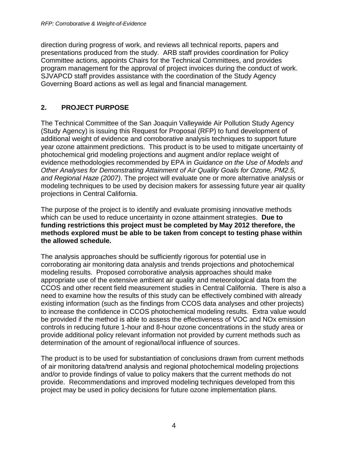direction during progress of work, and reviews all technical reports, papers and presentations produced from the study. ARB staff provides coordination for Policy Committee actions, appoints Chairs for the Technical Committees, and provides program management for the approval of project invoices during the conduct of work. SJVAPCD staff provides assistance with the coordination of the Study Agency Governing Board actions as well as legal and financial management.

## <span id="page-3-0"></span>**2. PROJECT PURPOSE**

The Technical Committee of the San Joaquin Valleywide Air Pollution Study Agency (Study Agency) is issuing this Request for Proposal (RFP) to fund development of additional weight of evidence and corroborative analysis techniques to support future year ozone attainment predictions. This product is to be used to mitigate uncertainty of photochemical grid modeling projections and augment and/or replace weight of evidence methodologies recommended by EPA in *Guidance on the Use of Models and Other Analyses for Demonstrating Attainment of Air Quality Goals for Ozone, PM2.5, and Regional Haze (2007)*. The project will evaluate one or more alternative analysis or modeling techniques to be used by decision makers for assessing future year air quality projections in Central California.

The purpose of the project is to identify and evaluate promising innovative methods which can be used to reduce uncertainty in ozone attainment strategies. **Due to funding restrictions this project must be completed by May 2012 therefore, the methods explored must be able to be taken from concept to testing phase within the allowed schedule.**

The analysis approaches should be sufficiently rigorous for potential use in corroborating air monitoring data analysis and trends projections and photochemical modeling results. Proposed corroborative analysis approaches should make appropriate use of the extensive ambient air quality and meteorological data from the CCOS and other recent field measurement studies in Central California. There is also a need to examine how the results of this study can be effectively combined with already existing information (such as the findings from CCOS data analyses and other projects) to increase the confidence in CCOS photochemical modeling results. Extra value would be provided if the method is able to assess the effectiveness of VOC and NOx emission controls in reducing future 1-hour and 8-hour ozone concentrations in the study area or provide additional policy relevant information not provided by current methods such as determination of the amount of regional/local influence of sources.

The product is to be used for substantiation of conclusions drawn from current methods of air monitoring data/trend analysis and regional photochemical modeling projections and/or to provide findings of value to policy makers that the current methods do not provide. Recommendations and improved modeling techniques developed from this project may be used in policy decisions for future ozone implementation plans.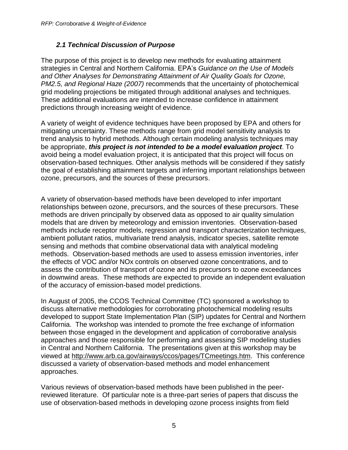#### *2.1 Technical Discussion of Purpose*

<span id="page-4-0"></span>The purpose of this project is to develop new methods for evaluating attainment strategies in Central and Northern California. EPA's *Guidance on the Use of Models and Other Analyses for Demonstrating Attainment of Air Quality Goals for Ozone, PM2.5, and Regional Haze (2007)* recommends that the uncertainty of photochemical grid modeling projections be mitigated through additional analyses and techniques. These additional evaluations are intended to increase confidence in attainment predictions through increasing weight of evidence.

A variety of weight of evidence techniques have been proposed by EPA and others for mitigating uncertainty. These methods range from grid model sensitivity analysis to trend analysis to hybrid methods. Although certain modeling analysis techniques may be appropriate, *this project is not intended to be a model evaluation project*. To avoid being a model evaluation project, it is anticipated that this project will focus on observation-based techniques. Other analysis methods will be considered if they satisfy the goal of establishing attainment targets and inferring important relationships between ozone, precursors, and the sources of these precursors.

A variety of observation-based methods have been developed to infer important relationships between ozone, precursors, and the sources of these precursors. These methods are driven principally by observed data as opposed to air quality simulation models that are driven by meteorology and emission inventories. Observation-based methods include receptor models, regression and transport characterization techniques, ambient pollutant ratios, multivariate trend analysis, indicator species, satellite remote sensing and methods that combine observational data with analytical modeling methods. Observation-based methods are used to assess emission inventories, infer the effects of VOC and/or NOx controls on observed ozone concentrations, and to assess the contribution of transport of ozone and its precursors to ozone exceedances in downwind areas. These methods are expected to provide an independent evaluation of the accuracy of emission-based model predictions.

In August of 2005, the CCOS Technical Committee (TC) sponsored a workshop to discuss alternative methodologies for corroborating photochemical modeling results developed to support State Implementation Plan (SIP) updates for Central and Northern California. The workshop was intended to promote the free exchange of information between those engaged in the development and application of corroborative analysis approaches and those responsible for performing and assessing SIP modeling studies in Central and Northern California. The presentations given at this workshop may be viewed at [http://www.arb.ca.gov/airways/ccos/pages/TCmeetings.htm.](http://www.arb.ca.gov/airways/ccos/pages/TCmeetings.htm) This conference discussed a variety of observation-based methods and model enhancement approaches.

Various reviews of observation-based methods have been published in the peerreviewed literature. Of particular note is a three-part series of papers that discuss the use of observation-based methods in developing ozone process insights from field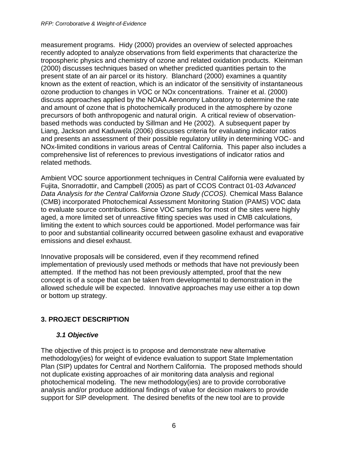measurement programs. Hidy (2000) provides an overview of selected approaches recently adopted to analyze observations from field experiments that characterize the tropospheric physics and chemistry of ozone and related oxidation products. Kleinman (2000) discusses techniques based on whether predicted quantities pertain to the present state of an air parcel or its history. Blanchard (2000) examines a quantity known as the extent of reaction, which is an indicator of the sensitivity of instantaneous ozone production to changes in VOC or NOx concentrations. Trainer et al. (2000) discuss approaches applied by the NOAA Aeronomy Laboratory to determine the rate and amount of ozone that is photochemically produced in the atmosphere by ozone precursors of both anthropogenic and natural origin. A critical review of observationbased methods was conducted by Sillman and He (2002). A subsequent paper by Liang, Jackson and Kaduwela (2006) discusses criteria for evaluating indicator ratios and presents an assessment of their possible regulatory utility in determining VOC- and NOx-limited conditions in various areas of Central California. This paper also includes a comprehensive list of references to previous investigations of indicator ratios and related methods.

Ambient VOC source apportionment techniques in Central California were evaluated by Fujita, Snorradottir, and Campbell (2005) as part of CCOS Contract 01-03 *Advanced Data Analysis for the Central California Ozone Study (CCOS).* Chemical Mass Balance (CMB) incorporated Photochemical Assessment Monitoring Station (PAMS) VOC data to evaluate source contributions. Since VOC samples for most of the sites were highly aged, a more limited set of unreactive fitting species was used in CMB calculations, limiting the extent to which sources could be apportioned. Model performance was fair to poor and substantial collinearity occurred between gasoline exhaust and evaporative emissions and diesel exhaust.

Innovative proposals will be considered, even if they recommend refined implementation of previously used methods or methods that have not previously been attempted. If the method has not been previously attempted, proof that the new concept is of a scope that can be taken from developmental to demonstration in the allowed schedule will be expected. Innovative approaches may use either a top down or bottom up strategy.

## <span id="page-5-1"></span><span id="page-5-0"></span>**3. PROJECT DESCRIPTION**

#### *3.1 Objective*

The objective of this project is to propose and demonstrate new alternative methodology(ies) for weight of evidence evaluation to support State Implementation Plan (SIP) updates for Central and Northern California. The proposed methods should not duplicate existing approaches of air monitoring data analysis and regional photochemical modeling. The new methodology(ies) are to provide corroborative analysis and/or produce additional findings of value for decision makers to provide support for SIP development. The desired benefits of the new tool are to provide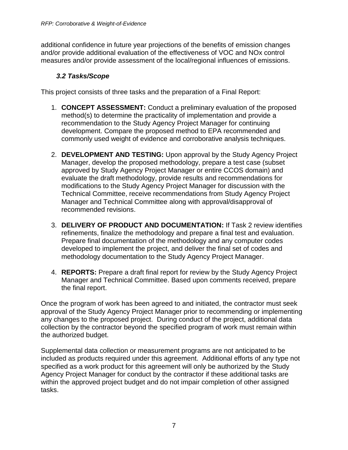additional confidence in future year projections of the benefits of emission changes and/or provide additional evaluation of the effectiveness of VOC and NOx control measures and/or provide assessment of the local/regional influences of emissions.

#### *3.2 Tasks/Scope*

<span id="page-6-0"></span>This project consists of three tasks and the preparation of a Final Report:

- 1. **CONCEPT ASSESSMENT:** Conduct a preliminary evaluation of the proposed method(s) to determine the practicality of implementation and provide a recommendation to the Study Agency Project Manager for continuing development. Compare the proposed method to EPA recommended and commonly used weight of evidence and corroborative analysis techniques.
- 2. **DEVELOPMENT AND TESTING:** Upon approval by the Study Agency Project Manager, develop the proposed methodology, prepare a test case (subset approved by Study Agency Project Manager or entire CCOS domain) and evaluate the draft methodology, provide results and recommendations for modifications to the Study Agency Project Manager for discussion with the Technical Committee, receive recommendations from Study Agency Project Manager and Technical Committee along with approval/disapproval of recommended revisions.
- 3. **DELIVERY OF PRODUCT AND DOCUMENTATION:** If Task 2 review identifies refinements, finalize the methodology and prepare a final test and evaluation. Prepare final documentation of the methodology and any computer codes developed to implement the project, and deliver the final set of codes and methodology documentation to the Study Agency Project Manager.
- 4. **REPORTS:** Prepare a draft final report for review by the Study Agency Project Manager and Technical Committee. Based upon comments received, prepare the final report.

Once the program of work has been agreed to and initiated, the contractor must seek approval of the Study Agency Project Manager prior to recommending or implementing any changes to the proposed project. During conduct of the project, additional data collection by the contractor beyond the specified program of work must remain within the authorized budget.

Supplemental data collection or measurement programs are not anticipated to be included as products required under this agreement. Additional efforts of any type not specified as a work product for this agreement will only be authorized by the Study Agency Project Manager for conduct by the contractor if these additional tasks are within the approved project budget and do not impair completion of other assigned tasks.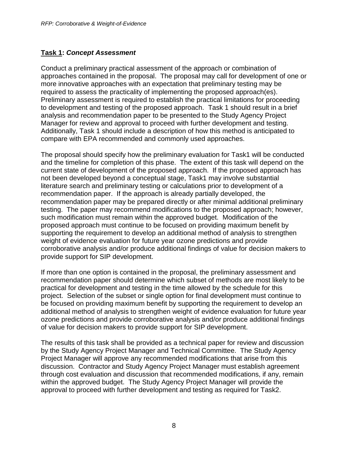## **Task 1:** *Concept Assessment*

Conduct a preliminary practical assessment of the approach or combination of approaches contained in the proposal. The proposal may call for development of one or more innovative approaches with an expectation that preliminary testing may be required to assess the practicality of implementing the proposed approach(es). Preliminary assessment is required to establish the practical limitations for proceeding to development and testing of the proposed approach. Task 1 should result in a brief analysis and recommendation paper to be presented to the Study Agency Project Manager for review and approval to proceed with further development and testing. Additionally, Task 1 should include a description of how this method is anticipated to compare with EPA recommended and commonly used approaches.

The proposal should specify how the preliminary evaluation for Task1 will be conducted and the timeline for completion of this phase. The extent of this task will depend on the current state of development of the proposed approach. If the proposed approach has not been developed beyond a conceptual stage, Task1 may involve substantial literature search and preliminary testing or calculations prior to development of a recommendation paper. If the approach is already partially developed, the recommendation paper may be prepared directly or after minimal additional preliminary testing. The paper may recommend modifications to the proposed approach; however, such modification must remain within the approved budget. Modification of the proposed approach must continue to be focused on providing maximum benefit by supporting the requirement to develop an additional method of analysis to strengthen weight of evidence evaluation for future year ozone predictions and provide corroborative analysis and/or produce additional findings of value for decision makers to provide support for SIP development.

If more than one option is contained in the proposal, the preliminary assessment and recommendation paper should determine which subset of methods are most likely to be practical for development and testing in the time allowed by the schedule for this project. Selection of the subset or single option for final development must continue to be focused on providing maximum benefit by supporting the requirement to develop an additional method of analysis to strengthen weight of evidence evaluation for future year ozone predictions and provide corroborative analysis and/or produce additional findings of value for decision makers to provide support for SIP development.

The results of this task shall be provided as a technical paper for review and discussion by the Study Agency Project Manager and Technical Committee. The Study Agency Project Manager will approve any recommended modifications that arise from this discussion. Contractor and Study Agency Project Manager must establish agreement through cost evaluation and discussion that recommended modifications, if any, remain within the approved budget. The Study Agency Project Manager will provide the approval to proceed with further development and testing as required for Task2.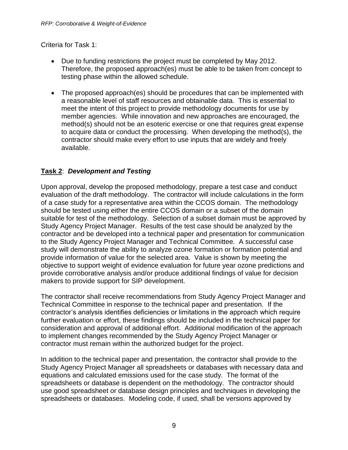Criteria for Task 1:

- Due to funding restrictions the project must be completed by May 2012. Therefore, the proposed approach(es) must be able to be taken from concept to testing phase within the allowed schedule.
- The proposed approach(es) should be procedures that can be implemented with a reasonable level of staff resources and obtainable data. This is essential to meet the intent of this project to provide methodology documents for use by member agencies. While innovation and new approaches are encouraged, the method(s) should not be an esoteric exercise or one that requires great expense to acquire data or conduct the processing. When developing the method(s), the contractor should make every effort to use inputs that are widely and freely available.

## **Task 2**: *Development and Testing*

Upon approval, develop the proposed methodology, prepare a test case and conduct evaluation of the draft methodology. The contractor will include calculations in the form of a case study for a representative area within the CCOS domain. The methodology should be tested using either the entire CCOS domain or a subset of the domain suitable for test of the methodology. Selection of a subset domain must be approved by Study Agency Project Manager. Results of the test case should be analyzed by the contractor and be developed into a technical paper and presentation for communication to the Study Agency Project Manager and Technical Committee. A successful case study will demonstrate the ability to analyze ozone formation or formation potential and provide information of value for the selected area. Value is shown by meeting the objective to support weight of evidence evaluation for future year ozone predictions and provide corroborative analysis and/or produce additional findings of value for decision makers to provide support for SIP development.

The contractor shall receive recommendations from Study Agency Project Manager and Technical Committee in response to the technical paper and presentation. If the contractor's analysis identifies deficiencies or limitations in the approach which require further evaluation or effort, these findings should be included in the technical paper for consideration and approval of additional effort. Additional modification of the approach to implement changes recommended by the Study Agency Project Manager or contractor must remain within the authorized budget for the project.

In addition to the technical paper and presentation, the contractor shall provide to the Study Agency Project Manager all spreadsheets or databases with necessary data and equations and calculated emissions used for the case study. The format of the spreadsheets or database is dependent on the methodology. The contractor should use good spreadsheet or database design principles and techniques in developing the spreadsheets or databases. Modeling code, if used, shall be versions approved by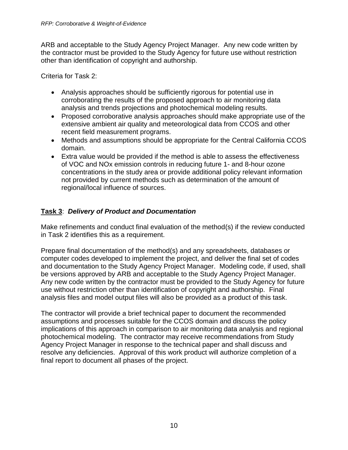ARB and acceptable to the Study Agency Project Manager. Any new code written by the contractor must be provided to the Study Agency for future use without restriction other than identification of copyright and authorship.

Criteria for Task 2:

- Analysis approaches should be sufficiently rigorous for potential use in corroborating the results of the proposed approach to air monitoring data analysis and trends projections and photochemical modeling results.
- Proposed corroborative analysis approaches should make appropriate use of the extensive ambient air quality and meteorological data from CCOS and other recent field measurement programs.
- Methods and assumptions should be appropriate for the Central California CCOS domain.
- Extra value would be provided if the method is able to assess the effectiveness of VOC and NOx emission controls in reducing future 1- and 8-hour ozone concentrations in the study area or provide additional policy relevant information not provided by current methods such as determination of the amount of regional/local influence of sources.

## **Task 3**: *Delivery of Product and Documentation*

Make refinements and conduct final evaluation of the method(s) if the review conducted in Task 2 identifies this as a requirement.

Prepare final documentation of the method(s) and any spreadsheets, databases or computer codes developed to implement the project, and deliver the final set of codes and documentation to the Study Agency Project Manager. Modeling code, if used, shall be versions approved by ARB and acceptable to the Study Agency Project Manager. Any new code written by the contractor must be provided to the Study Agency for future use without restriction other than identification of copyright and authorship. Final analysis files and model output files will also be provided as a product of this task.

The contractor will provide a brief technical paper to document the recommended assumptions and processes suitable for the CCOS domain and discuss the policy implications of this approach in comparison to air monitoring data analysis and regional photochemical modeling. The contractor may receive recommendations from Study Agency Project Manager in response to the technical paper and shall discuss and resolve any deficiencies. Approval of this work product will authorize completion of a final report to document all phases of the project.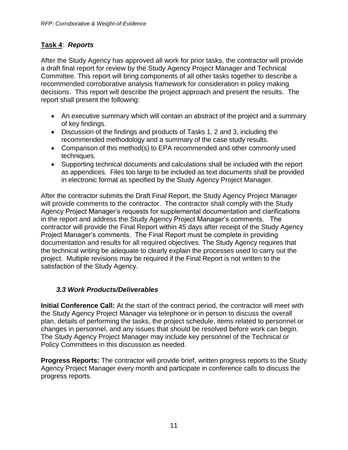## **Task 4**: *Reports*

After the Study Agency has approved all work for prior tasks, the contractor will provide a draft final report for review by the Study Agency Project Manager and Technical Committee. This report will bring components of all other tasks together to describe a recommended corroborative analysis framework for consideration in policy making decisions. This report will describe the project approach and present the results. The report shall present the following:

- An executive summary which will contain an abstract of the project and a summary of key findings.
- Discussion of the findings and products of Tasks 1, 2 and 3, including the recommended methodology and a summary of the case study results.
- Comparison of this method(s) to EPA recommended and other commonly used techniques.
- Supporting technical documents and calculations shall be included with the report as appendices. Files too large to be included as text documents shall be provided in electronic format as specified by the Study Agency Project Manager.

After the contractor submits the Draft Final Report, the Study Agency Project Manager will provide comments to the contractor. The contractor shall comply with the Study Agency Project Manager's requests for supplemental documentation and clarifications in the report and address the Study Agency Project Manager's comments. The contractor will provide the Final Report within 45 days after receipt of the Study Agency Project Manager's comments. The Final Report must be complete in providing documentation and results for all required objectives. The Study Agency requires that the technical writing be adequate to clearly explain the processes used to carry out the project. Multiple revisions may be required if the Final Report is not written to the satisfaction of the Study Agency.

## *3.3 Work Products/Deliverables*

<span id="page-10-0"></span>**Initial Conference Call:** At the start of the contract period, the contractor will meet with the Study Agency Project Manager via telephone or in person to discuss the overall plan, details of performing the tasks, the project schedule, items related to personnel or changes in personnel, and any issues that should be resolved before work can begin. The Study Agency Project Manager may include key personnel of the Technical or Policy Committees in this discussion as needed.

**Progress Reports:** The contractor will provide brief, written progress reports to the Study Agency Project Manager every month and participate in conference calls to discuss the progress reports.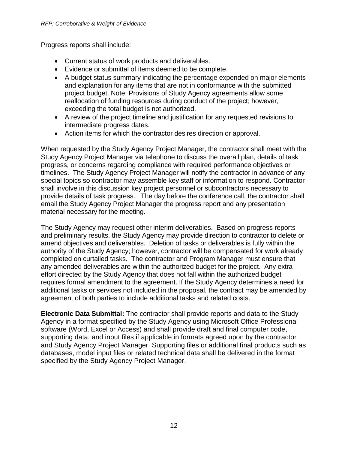Progress reports shall include:

- Current status of work products and deliverables.
- Evidence or submittal of items deemed to be complete.
- A budget status summary indicating the percentage expended on major elements and explanation for any items that are not in conformance with the submitted project budget. Note: Provisions of Study Agency agreements allow some reallocation of funding resources during conduct of the project; however, exceeding the total budget is not authorized.
- A review of the project timeline and justification for any requested revisions to intermediate progress dates.
- Action items for which the contractor desires direction or approval.

When requested by the Study Agency Project Manager, the contractor shall meet with the Study Agency Project Manager via telephone to discuss the overall plan, details of task progress, or concerns regarding compliance with required performance objectives or timelines. The Study Agency Project Manager will notify the contractor in advance of any special topics so contractor may assemble key staff or information to respond. Contractor shall involve in this discussion key project personnel or subcontractors necessary to provide details of task progress. The day before the conference call, the contractor shall email the Study Agency Project Manager the progress report and any presentation material necessary for the meeting.

The Study Agency may request other interim deliverables. Based on progress reports and preliminary results, the Study Agency may provide direction to contractor to delete or amend objectives and deliverables. Deletion of tasks or deliverables is fully within the authority of the Study Agency; however, contractor will be compensated for work already completed on curtailed tasks. The contractor and Program Manager must ensure that any amended deliverables are within the authorized budget for the project. Any extra effort directed by the Study Agency that does not fall within the authorized budget requires formal amendment to the agreement. If the Study Agency determines a need for additional tasks or services not included in the proposal, the contract may be amended by agreement of both parties to include additional tasks and related costs.

**Electronic Data Submittal:** The contractor shall provide reports and data to the Study Agency in a format specified by the Study Agency using Microsoft Office Professional software (Word, Excel or Access) and shall provide draft and final computer code, supporting data, and input files if applicable in formats agreed upon by the contractor and Study Agency Project Manager. Supporting files or additional final products such as databases, model input files or related technical data shall be delivered in the format specified by the Study Agency Project Manager.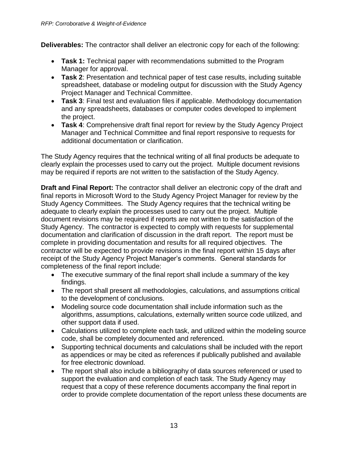**Deliverables:** The contractor shall deliver an electronic copy for each of the following:

- **Task 1:** Technical paper with recommendations submitted to the Program Manager for approval.
- **Task 2**: Presentation and technical paper of test case results, including suitable spreadsheet, database or modeling output for discussion with the Study Agency Project Manager and Technical Committee.
- **Task 3**: Final test and evaluation files if applicable. Methodology documentation and any spreadsheets, databases or computer codes developed to implement the project.
- **Task 4**: Comprehensive draft final report for review by the Study Agency Project Manager and Technical Committee and final report responsive to requests for additional documentation or clarification.

The Study Agency requires that the technical writing of all final products be adequate to clearly explain the processes used to carry out the project. Multiple document revisions may be required if reports are not written to the satisfaction of the Study Agency.

**Draft and Final Report:** The contractor shall deliver an electronic copy of the draft and final reports in Microsoft Word to the Study Agency Project Manager for review by the Study Agency Committees. The Study Agency requires that the technical writing be adequate to clearly explain the processes used to carry out the project. Multiple document revisions may be required if reports are not written to the satisfaction of the Study Agency. The contractor is expected to comply with requests for supplemental documentation and clarification of discussion in the draft report. The report must be complete in providing documentation and results for all required objectives. The contractor will be expected to provide revisions in the final report within 15 days after receipt of the Study Agency Project Manager's comments. General standards for completeness of the final report include:

- The executive summary of the final report shall include a summary of the key findings.
- The report shall present all methodologies, calculations, and assumptions critical to the development of conclusions.
- Modeling source code documentation shall include information such as the algorithms, assumptions, calculations, externally written source code utilized, and other support data if used.
- Calculations utilized to complete each task, and utilized within the modeling source code, shall be completely documented and referenced.
- Supporting technical documents and calculations shall be included with the report as appendices or may be cited as references if publically published and available for free electronic download.
- The report shall also include a bibliography of data sources referenced or used to support the evaluation and completion of each task. The Study Agency may request that a copy of these reference documents accompany the final report in order to provide complete documentation of the report unless these documents are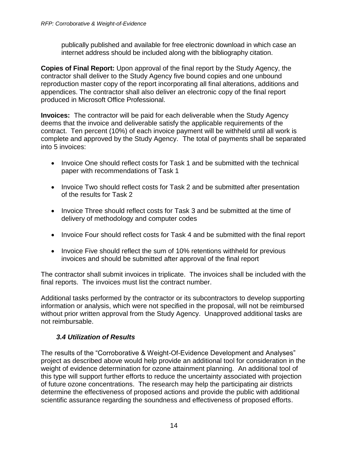publically published and available for free electronic download in which case an internet address should be included along with the bibliography citation.

**Copies of Final Report:** Upon approval of the final report by the Study Agency, the contractor shall deliver to the Study Agency five bound copies and one unbound reproduction master copy of the report incorporating all final alterations, additions and appendices. The contractor shall also deliver an electronic copy of the final report produced in Microsoft Office Professional.

**Invoices:** The contractor will be paid for each deliverable when the Study Agency deems that the invoice and deliverable satisfy the applicable requirements of the contract. Ten percent (10%) of each invoice payment will be withheld until all work is complete and approved by the Study Agency. The total of payments shall be separated into 5 invoices:

- Invoice One should reflect costs for Task 1 and be submitted with the technical paper with recommendations of Task 1
- Invoice Two should reflect costs for Task 2 and be submitted after presentation of the results for Task 2
- Invoice Three should reflect costs for Task 3 and be submitted at the time of delivery of methodology and computer codes
- Invoice Four should reflect costs for Task 4 and be submitted with the final report
- Invoice Five should reflect the sum of 10% retentions withheld for previous invoices and should be submitted after approval of the final report

The contractor shall submit invoices in triplicate. The invoices shall be included with the final reports. The invoices must list the contract number.

Additional tasks performed by the contractor or its subcontractors to develop supporting information or analysis, which were not specified in the proposal, will not be reimbursed without prior written approval from the Study Agency. Unapproved additional tasks are not reimbursable.

## *3.4 Utilization of Results*

<span id="page-13-0"></span>The results of the "Corroborative & Weight-Of-Evidence Development and Analyses" project as described above would help provide an additional tool for consideration in the weight of evidence determination for ozone attainment planning. An additional tool of this type will support further efforts to reduce the uncertainty associated with projection of future ozone concentrations. The research may help the participating air districts determine the effectiveness of proposed actions and provide the public with additional scientific assurance regarding the soundness and effectiveness of proposed efforts.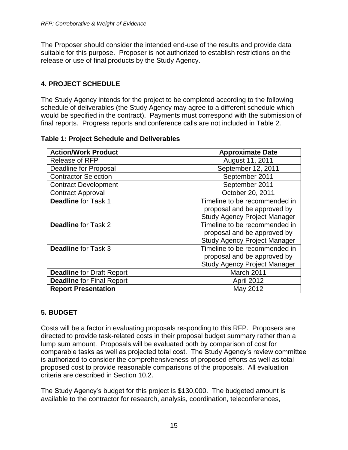The Proposer should consider the intended end-use of the results and provide data suitable for this purpose. Proposer is not authorized to establish restrictions on the release or use of final products by the Study Agency.

## <span id="page-14-0"></span>**4. PROJECT SCHEDULE**

The Study Agency intends for the project to be completed according to the following schedule of deliverables (the Study Agency may agree to a different schedule which would be specified in the contract). Payments must correspond with the submission of final reports. Progress reports and conference calls are not included in Table 2.

|  |  | <b>Table 1: Project Schedule and Deliverables</b> |
|--|--|---------------------------------------------------|
|--|--|---------------------------------------------------|

| <b>Action/Work Product</b>       | <b>Approximate Date</b>                                                                             |  |  |  |
|----------------------------------|-----------------------------------------------------------------------------------------------------|--|--|--|
| <b>Release of RFP</b>            | August 11, 2011                                                                                     |  |  |  |
| <b>Deadline for Proposal</b>     | September 12, 2011                                                                                  |  |  |  |
| <b>Contractor Selection</b>      | September 2011                                                                                      |  |  |  |
| <b>Contract Development</b>      | September 2011                                                                                      |  |  |  |
| <b>Contract Approval</b>         | October 20, 2011                                                                                    |  |  |  |
| <b>Deadline for Task 1</b>       | Timeline to be recommended in<br>proposal and be approved by                                        |  |  |  |
|                                  | <b>Study Agency Project Manager</b>                                                                 |  |  |  |
| <b>Deadline for Task 2</b>       | Timeline to be recommended in<br>proposal and be approved by<br><b>Study Agency Project Manager</b> |  |  |  |
| <b>Deadline for Task 3</b>       | Timeline to be recommended in<br>proposal and be approved by<br><b>Study Agency Project Manager</b> |  |  |  |
| <b>Deadline for Draft Report</b> | March 2011                                                                                          |  |  |  |
| <b>Deadline for Final Report</b> | <b>April 2012</b>                                                                                   |  |  |  |
| <b>Report Presentation</b>       | May 2012                                                                                            |  |  |  |

## <span id="page-14-1"></span>**5. BUDGET**

Costs will be a factor in evaluating proposals responding to this RFP. Proposers are directed to provide task-related costs in their proposal budget summary rather than a lump sum amount. Proposals will be evaluated both by comparison of cost for comparable tasks as well as projected total cost. The Study Agency's review committee is authorized to consider the comprehensiveness of proposed efforts as well as total proposed cost to provide reasonable comparisons of the proposals. All evaluation criteria are described in Section 10.2.

The Study Agency's budget for this project is \$130,000. The budgeted amount is available to the contractor for research, analysis, coordination, teleconferences,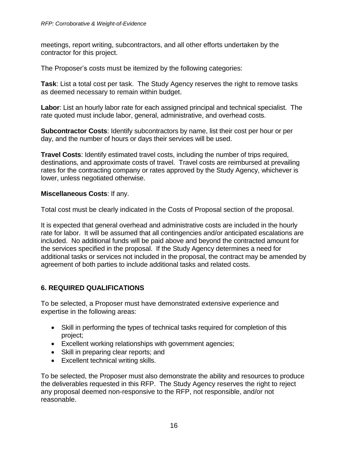meetings, report writing, subcontractors, and all other efforts undertaken by the contractor for this project.

The Proposer's costs must be itemized by the following categories:

**Task**: List a total cost per task. The Study Agency reserves the right to remove tasks as deemed necessary to remain within budget.

**Labor**: List an hourly labor rate for each assigned principal and technical specialist. The rate quoted must include labor, general, administrative, and overhead costs.

**Subcontractor Costs**: Identify subcontractors by name, list their cost per hour or per day, and the number of hours or days their services will be used.

**Travel Costs**: Identify estimated travel costs, including the number of trips required, destinations, and approximate costs of travel. Travel costs are reimbursed at prevailing rates for the contracting company or rates approved by the Study Agency, whichever is lower, unless negotiated otherwise.

#### **Miscellaneous Costs**: If any.

Total cost must be clearly indicated in the Costs of Proposal section of the proposal.

It is expected that general overhead and administrative costs are included in the hourly rate for labor. It will be assumed that all contingencies and/or anticipated escalations are included. No additional funds will be paid above and beyond the contracted amount for the services specified in the proposal. If the Study Agency determines a need for additional tasks or services not included in the proposal, the contract may be amended by agreement of both parties to include additional tasks and related costs.

## <span id="page-15-0"></span>**6. REQUIRED QUALIFICATIONS**

To be selected, a Proposer must have demonstrated extensive experience and expertise in the following areas:

- Skill in performing the types of technical tasks required for completion of this project;
- Excellent working relationships with government agencies;
- Skill in preparing clear reports; and
- Excellent technical writing skills.

To be selected, the Proposer must also demonstrate the ability and resources to produce the deliverables requested in this RFP. The Study Agency reserves the right to reject any proposal deemed non-responsive to the RFP, not responsible, and/or not reasonable.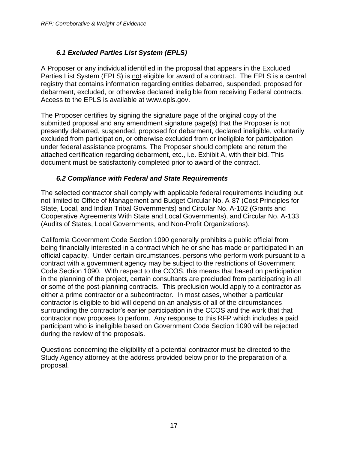## *6.1 Excluded Parties List System (EPLS)*

<span id="page-16-0"></span>A Proposer or any individual identified in the proposal that appears in the Excluded Parties List System (EPLS) is not eligible for award of a contract. The EPLS is a central registry that contains information regarding entities debarred, suspended, proposed for debarment, excluded, or otherwise declared ineligible from receiving Federal contracts. Access to the EPLS is available at www.epls.gov.

The Proposer certifies by signing the signature page of the original copy of the submitted proposal and any amendment signature page(s) that the Proposer is not presently debarred, suspended, proposed for debarment, declared ineligible, voluntarily excluded from participation, or otherwise excluded from or ineligible for participation under federal assistance programs. The Proposer should complete and return the attached certification regarding debarment, etc., i.e. Exhibit A, with their bid. This document must be satisfactorily completed prior to award of the contract.

#### *6.2 Compliance with Federal and State Requirements*

<span id="page-16-1"></span>The selected contractor shall comply with applicable federal requirements including but not limited to Office of Management and Budget Circular No. A-87 (Cost Principles for State, Local, and Indian Tribal Governments) and Circular No. A-102 (Grants and Cooperative Agreements With State and Local Governments), and Circular No. A-133 (Audits of States, Local Governments, and Non-Profit Organizations).

California Government Code Section 1090 generally prohibits a public official from being financially interested in a contract which he or she has made or participated in an official capacity. Under certain circumstances, persons who perform work pursuant to a contract with a government agency may be subject to the restrictions of Government Code Section 1090. With respect to the CCOS, this means that based on participation in the planning of the project, certain consultants are precluded from participating in all or some of the post-planning contracts. This preclusion would apply to a contractor as either a prime contractor or a subcontractor. In most cases, whether a particular contractor is eligible to bid will depend on an analysis of all of the circumstances surrounding the contractor's earlier participation in the CCOS and the work that that contractor now proposes to perform. Any response to this RFP which includes a paid participant who is ineligible based on Government Code Section 1090 will be rejected during the review of the proposals.

Questions concerning the eligibility of a potential contractor must be directed to the Study Agency attorney at the address provided below prior to the preparation of a proposal.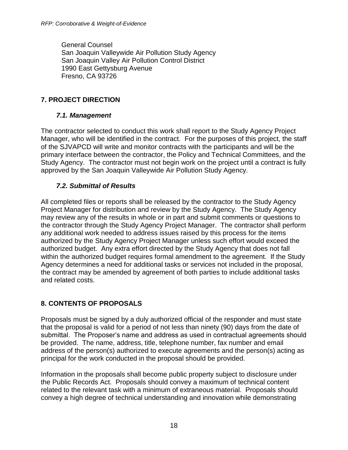General Counsel San Joaquin Valleywide Air Pollution Study Agency San Joaquin Valley Air Pollution Control District 1990 East Gettysburg Avenue Fresno, CA 93726

## <span id="page-17-0"></span>**7. PROJECT DIRECTION**

#### *7.1. Management*

<span id="page-17-1"></span>The contractor selected to conduct this work shall report to the Study Agency Project Manager, who will be identified in the contract. For the purposes of this project, the staff of the SJVAPCD will write and monitor contracts with the participants and will be the primary interface between the contractor, the Policy and Technical Committees, and the Study Agency. The contractor must not begin work on the project until a contract is fully approved by the San Joaquin Valleywide Air Pollution Study Agency.

#### *7.2. Submittal of Results*

<span id="page-17-2"></span>All completed files or reports shall be released by the contractor to the Study Agency Project Manager for distribution and review by the Study Agency. The Study Agency may review any of the results in whole or in part and submit comments or questions to the contractor through the Study Agency Project Manager. The contractor shall perform any additional work needed to address issues raised by this process for the items authorized by the Study Agency Project Manager unless such effort would exceed the authorized budget. Any extra effort directed by the Study Agency that does not fall within the authorized budget requires formal amendment to the agreement. If the Study Agency determines a need for additional tasks or services not included in the proposal, the contract may be amended by agreement of both parties to include additional tasks and related costs.

## <span id="page-17-3"></span>**8. CONTENTS OF PROPOSALS**

Proposals must be signed by a duly authorized official of the responder and must state that the proposal is valid for a period of not less than ninety (90) days from the date of submittal. The Proposer's name and address as used in contractual agreements should be provided. The name, address, title, telephone number, fax number and email address of the person(s) authorized to execute agreements and the person(s) acting as principal for the work conducted in the proposal should be provided.

Information in the proposals shall become public property subject to disclosure under the Public Records Act. Proposals should convey a maximum of technical content related to the relevant task with a minimum of extraneous material. Proposals should convey a high degree of technical understanding and innovation while demonstrating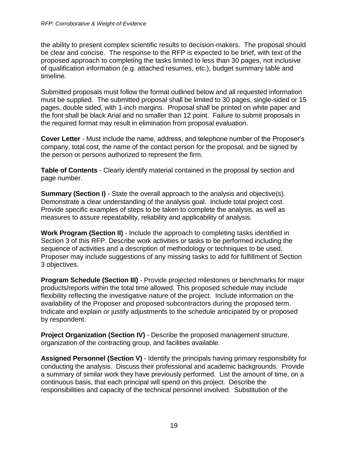the ability to present complex scientific results to decision-makers. The proposal should be clear and concise. The response to the RFP is expected to be brief, with text of the proposed approach to completing the tasks limited to less than 30 pages, not inclusive of qualification information (e.g. attached resumes, etc.), budget summary table and timeline.

Submitted proposals must follow the format outlined below and all requested information must be supplied. The submitted proposal shall be limited to 30 pages, single-sided or 15 pages, double sided, with 1-inch margins. Proposal shall be printed on white paper and the font shall be black Arial and no smaller than 12 point. Failure to submit proposals in the required format may result in elimination from proposal evaluation.

**Cover Letter** - Must include the name, address, and telephone number of the Proposer's company, total cost, the name of the contact person for the proposal, and be signed by the person or persons authorized to represent the firm.

**Table of Contents** - Clearly identify material contained in the proposal by section and page number.

**Summary (Section I)** - State the overall approach to the analysis and objective(s). Demonstrate a clear understanding of the analysis goal. Include total project cost. Provide specific examples of steps to be taken to complete the analysis, as well as measures to assure repeatability, reliability and applicability of analysis.

**Work Program (Section II)** - Include the approach to completing tasks identified in Section 3 of this RFP. Describe work activities or tasks to be performed including the sequence of activities and a description of methodology or techniques to be used. Proposer may include suggestions of any missing tasks to add for fulfillment of Section 3 objectives.

**Program Schedule (Section III)** - Provide projected milestones or benchmarks for major products/reports within the total time allowed. This proposed schedule may include flexibility reflecting the investigative nature of the project. Include information on the availability of the Proposer and proposed subcontractors during the proposed term. Indicate and explain or justify adjustments to the schedule anticipated by or proposed by respondent.

**Project Organization (Section IV)** - Describe the proposed management structure, organization of the contracting group, and facilities available.

**Assigned Personnel (Section V)** - Identify the principals having primary responsibility for conducting the analysis. Discuss their professional and academic backgrounds. Provide a summary of similar work they have previously performed. List the amount of time, on a continuous basis, that each principal will spend on this project. Describe the responsibilities and capacity of the technical personnel involved. Substitution of the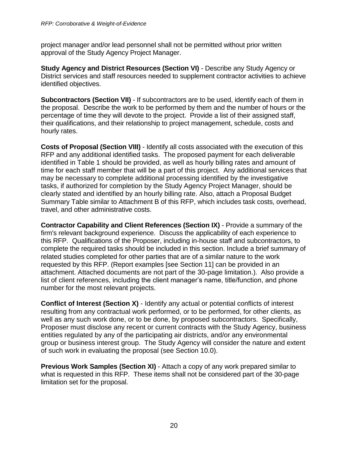project manager and/or lead personnel shall not be permitted without prior written approval of the Study Agency Project Manager.

**Study Agency and District Resources (Section VI)** - Describe any Study Agency or District services and staff resources needed to supplement contractor activities to achieve identified objectives.

**Subcontractors (Section VII)** - If subcontractors are to be used, identify each of them in the proposal. Describe the work to be performed by them and the number of hours or the percentage of time they will devote to the project. Provide a list of their assigned staff, their qualifications, and their relationship to project management, schedule, costs and hourly rates.

**Costs of Proposal (Section VIII)** - Identify all costs associated with the execution of this RFP and any additional identified tasks. The proposed payment for each deliverable identified in Table 1 should be provided, as well as hourly billing rates and amount of time for each staff member that will be a part of this project. Any additional services that may be necessary to complete additional processing identified by the investigative tasks, if authorized for completion by the Study Agency Project Manager, should be clearly stated and identified by an hourly billing rate. Also, attach a Proposal Budget Summary Table similar to Attachment B of this RFP, which includes task costs, overhead, travel, and other administrative costs.

**Contractor Capability and Client References (Section IX)** - Provide a summary of the firm's relevant background experience. Discuss the applicability of each experience to this RFP. Qualifications of the Proposer, including in-house staff and subcontractors, to complete the required tasks should be included in this section. Include a brief summary of related studies completed for other parties that are of a similar nature to the work requested by this RFP. (Report examples [see Section 11] can be provided in an attachment. Attached documents are not part of the 30-page limitation.). Also provide a list of client references, including the client manager's name, title/function, and phone number for the most relevant projects.

**Conflict of Interest (Section X) - Identify any actual or potential conflicts of interest** resulting from any contractual work performed, or to be performed, for other clients, as well as any such work done, or to be done, by proposed subcontractors. Specifically, Proposer must disclose any recent or current contracts with the Study Agency, business entities regulated by any of the participating air districts, and/or any environmental group or business interest group. The Study Agency will consider the nature and extent of such work in evaluating the proposal (see Section 10.0).

**Previous Work Samples (Section XI)** - Attach a copy of any work prepared similar to what is requested in this RFP. These items shall not be considered part of the 30-page limitation set for the proposal.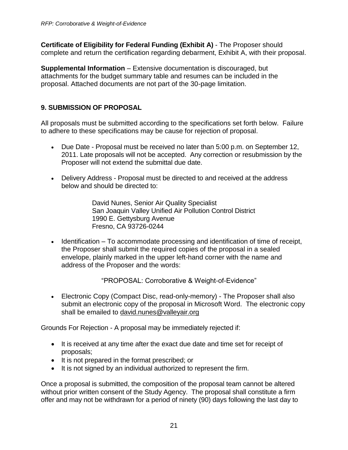**Certificate of Eligibility for Federal Funding (Exhibit A)** - The Proposer should complete and return the certification regarding debarment, Exhibit A, with their proposal.

**Supplemental Information** – Extensive documentation is discouraged, but attachments for the budget summary table and resumes can be included in the proposal. Attached documents are not part of the 30-page limitation.

## <span id="page-20-0"></span>**9. SUBMISSION OF PROPOSAL**

All proposals must be submitted according to the specifications set forth below. Failure to adhere to these specifications may be cause for rejection of proposal.

- Due Date Proposal must be received no later than 5:00 p.m. on September 12, 2011. Late proposals will not be accepted. Any correction or resubmission by the Proposer will not extend the submittal due date.
- Delivery Address Proposal must be directed to and received at the address below and should be directed to:

David Nunes, Senior Air Quality Specialist San Joaquin Valley Unified Air Pollution Control District 1990 E. Gettysburg Avenue Fresno, CA 93726-0244

 $\bullet$  Identification – To accommodate processing and identification of time of receipt, the Proposer shall submit the required copies of the proposal in a sealed envelope, plainly marked in the upper left-hand corner with the name and address of the Proposer and the words:

"PROPOSAL: Corroborative & Weight-of-Evidence"

 Electronic Copy (Compact Disc, read-only-memory) - The Proposer shall also submit an electronic copy of the proposal in Microsoft Word. The electronic copy shall be emailed to [david.nunes@valleyair.org](mailto:david.nunes@valleyair.org)

Grounds For Rejection - A proposal may be immediately rejected if:

- It is received at any time after the exact due date and time set for receipt of proposals;
- It is not prepared in the format prescribed; or
- It is not signed by an individual authorized to represent the firm.

Once a proposal is submitted, the composition of the proposal team cannot be altered without prior written consent of the Study Agency. The proposal shall constitute a firm offer and may not be withdrawn for a period of ninety (90) days following the last day to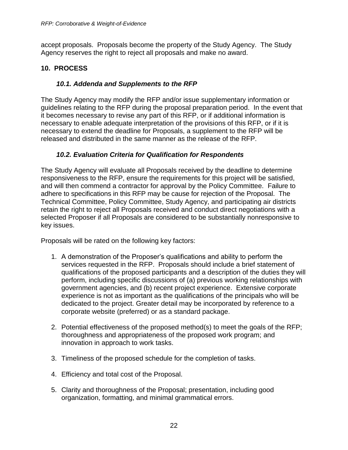accept proposals. Proposals become the property of the Study Agency. The Study Agency reserves the right to reject all proposals and make no award.

#### <span id="page-21-1"></span><span id="page-21-0"></span>**10. PROCESS**

#### *10.1. Addenda and Supplements to the RFP*

The Study Agency may modify the RFP and/or issue supplementary information or guidelines relating to the RFP during the proposal preparation period. In the event that it becomes necessary to revise any part of this RFP, or if additional information is necessary to enable adequate interpretation of the provisions of this RFP, or if it is necessary to extend the deadline for Proposals, a supplement to the RFP will be released and distributed in the same manner as the release of the RFP.

#### *10.2. Evaluation Criteria for Qualification for Respondents*

<span id="page-21-2"></span>The Study Agency will evaluate all Proposals received by the deadline to determine responsiveness to the RFP, ensure the requirements for this project will be satisfied, and will then commend a contractor for approval by the Policy Committee. Failure to adhere to specifications in this RFP may be cause for rejection of the Proposal. The Technical Committee, Policy Committee, Study Agency, and participating air districts retain the right to reject all Proposals received and conduct direct negotiations with a selected Proposer if all Proposals are considered to be substantially nonresponsive to key issues.

Proposals will be rated on the following key factors:

- 1. A demonstration of the Proposer's qualifications and ability to perform the services requested in the RFP. Proposals should include a brief statement of qualifications of the proposed participants and a description of the duties they will perform, including specific discussions of (a) previous working relationships with government agencies, and (b) recent project experience. Extensive corporate experience is not as important as the qualifications of the principals who will be dedicated to the project. Greater detail may be incorporated by reference to a corporate website (preferred) or as a standard package.
- 2. Potential effectiveness of the proposed method(s) to meet the goals of the RFP; thoroughness and appropriateness of the proposed work program; and innovation in approach to work tasks.
- 3. Timeliness of the proposed schedule for the completion of tasks.
- 4. Efficiency and total cost of the Proposal.
- 5. Clarity and thoroughness of the Proposal; presentation, including good organization, formatting, and minimal grammatical errors.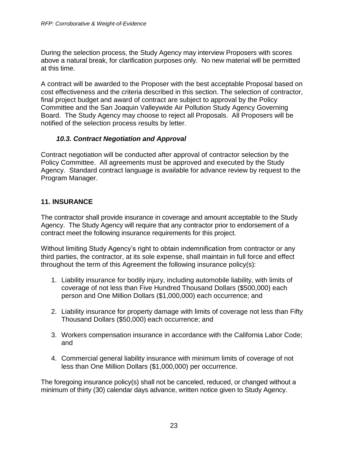During the selection process, the Study Agency may interview Proposers with scores above a natural break, for clarification purposes only. No new material will be permitted at this time.

A contract will be awarded to the Proposer with the best acceptable Proposal based on cost effectiveness and the criteria described in this section. The selection of contractor, final project budget and award of contract are subject to approval by the Policy Committee and the San Joaquin Valleywide Air Pollution Study Agency Governing Board. The Study Agency may choose to reject all Proposals. All Proposers will be notified of the selection process results by letter.

#### *10.3. Contract Negotiation and Approval*

<span id="page-22-0"></span>Contract negotiation will be conducted after approval of contractor selection by the Policy Committee. All agreements must be approved and executed by the Study Agency. Standard contract language is available for advance review by request to the Program Manager.

#### <span id="page-22-1"></span>**11. INSURANCE**

The contractor shall provide insurance in coverage and amount acceptable to the Study Agency. The Study Agency will require that any contractor prior to endorsement of a contract meet the following insurance requirements for this project.

Without limiting Study Agency's right to obtain indemnification from contractor or any third parties, the contractor, at its sole expense, shall maintain in full force and effect throughout the term of this Agreement the following insurance policy(s):

- 1. Liability insurance for bodily injury, including automobile liability, with limits of coverage of not less than Five Hundred Thousand Dollars (\$500,000) each person and One Million Dollars (\$1,000,000) each occurrence; and
- 2. Liability insurance for property damage with limits of coverage not less than Fifty Thousand Dollars (\$50,000) each occurrence; and
- 3. Workers compensation insurance in accordance with the California Labor Code; and
- 4. Commercial general liability insurance with minimum limits of coverage of not less than One Million Dollars (\$1,000,000) per occurrence.

The foregoing insurance policy(s) shall not be canceled, reduced, or changed without a minimum of thirty (30) calendar days advance, written notice given to Study Agency.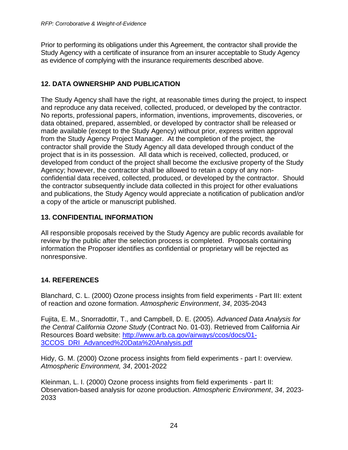Prior to performing its obligations under this Agreement, the contractor shall provide the Study Agency with a certificate of insurance from an insurer acceptable to Study Agency as evidence of complying with the insurance requirements described above.

## <span id="page-23-0"></span>**12. DATA OWNERSHIP AND PUBLICATION**

The Study Agency shall have the right, at reasonable times during the project, to inspect and reproduce any data received, collected, produced, or developed by the contractor. No reports, professional papers, information, inventions, improvements, discoveries, or data obtained, prepared, assembled, or developed by contractor shall be released or made available (except to the Study Agency) without prior, express written approval from the Study Agency Project Manager. At the completion of the project, the contractor shall provide the Study Agency all data developed through conduct of the project that is in its possession. All data which is received, collected, produced, or developed from conduct of the project shall become the exclusive property of the Study Agency; however, the contractor shall be allowed to retain a copy of any nonconfidential data received, collected, produced, or developed by the contractor. Should the contractor subsequently include data collected in this project for other evaluations and publications, the Study Agency would appreciate a notification of publication and/or a copy of the article or manuscript published.

## <span id="page-23-1"></span>**13. CONFIDENTIAL INFORMATION**

All responsible proposals received by the Study Agency are public records available for review by the public after the selection process is completed. Proposals containing information the Proposer identifies as confidential or proprietary will be rejected as nonresponsive.

## <span id="page-23-2"></span>**14. REFERENCES**

Blanchard, C. L. (2000) Ozone process insights from field experiments - Part III: extent of reaction and ozone formation. *Atmospheric Environment*, *34*, 2035-2043

Fujita, E. M., Snorradottir, T., and Campbell, D. E. (2005). *Advanced Data Analysis for the Central California Ozone Study* (Contract No. 01-03). Retrieved from California Air Resources Board website: [http://www.arb.ca.gov/airways/ccos/docs/01-](http://www.arb.ca.gov/airways/ccos/docs/01-3CCOS_DRI_Advanced%20Data%20Analysis.pdf) [3CCOS\\_DRI\\_Advanced%20Data%20Analysis.pdf](http://www.arb.ca.gov/airways/ccos/docs/01-3CCOS_DRI_Advanced%20Data%20Analysis.pdf)

Hidy, G. M. (2000) Ozone process insights from field experiments - part I: overview. *Atmospheric Environment, 34*, 2001-2022

Kleinman, L. I. (2000) Ozone process insights from field experiments - part II: Observation-based analysis for ozone production. *Atmospheric Environment*, *34*, 2023- 2033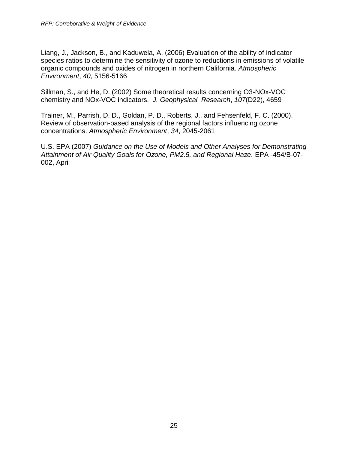Liang, J., Jackson, B., and Kaduwela, A. (2006) Evaluation of the ability of indicator species ratios to determine the sensitivity of ozone to reductions in emissions of volatile organic compounds and oxides of nitrogen in northern California*. Atmospheric Environment*, *40*, 5156-5166

Sillman, S., and He, D. (2002) Some theoretical results concerning O3-NOx-VOC chemistry and NOx-VOC indicators. *J. Geophysical Research*, *107*(D22), 4659

Trainer, M., Parrish, D. D., Goldan, P. D., Roberts, J., and Fehsenfeld, F. C. (2000). Review of observation-based analysis of the regional factors influencing ozone concentrations. *Atmospheric Environment*, *34*, 2045-2061

U.S. EPA (2007) *Guidance on the Use of Models and Other Analyses for Demonstrating Attainment of Air Quality Goals for Ozone, PM2.5, and Regional Haze.* EPA -454/B-07- 002, April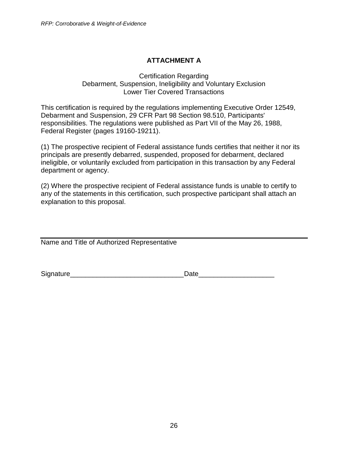## **ATTACHMENT A**

#### <span id="page-25-0"></span>Certification Regarding Debarment, Suspension, Ineligibility and Voluntary Exclusion Lower Tier Covered Transactions

This certification is required by the regulations implementing Executive Order 12549, Debarment and Suspension, 29 CFR Part 98 Section 98.510, Participants' responsibilities. The regulations were published as Part VII of the May 26, 1988, Federal Register (pages 19160-19211).

(1) The prospective recipient of Federal assistance funds certifies that neither it nor its principals are presently debarred, suspended, proposed for debarment, declared ineligible, or voluntarily excluded from participation in this transaction by any Federal department or agency.

(2) Where the prospective recipient of Federal assistance funds is unable to certify to any of the statements in this certification, such prospective participant shall attach an explanation to this proposal.

Name and Title of Authorized Representative

Signature **Example 20** and the set of the set of the Date of the set of the set of the set of the set of the set of the set of the set of the set of the set of the set of the set of the set of the set of the set of the set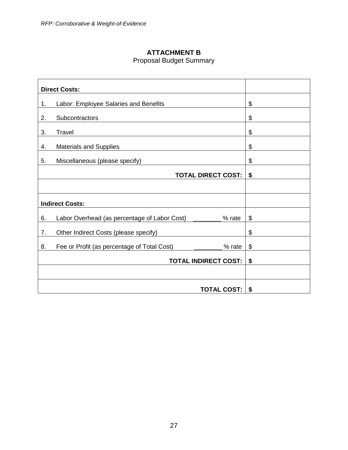## **ATTACHMENT B**

## Proposal Budget Summary

<span id="page-26-0"></span>

| <b>Direct Costs:</b>                                         |    |
|--------------------------------------------------------------|----|
| Labor: Employee Salaries and Benefits<br>1.                  | \$ |
| 2.<br>Subcontractors                                         | \$ |
| 3.<br>Travel                                                 | \$ |
| <b>Materials and Supplies</b><br>4.                          | \$ |
| 5.<br>Miscellaneous (please specify)                         | \$ |
| <b>TOTAL DIRECT COST:</b>                                    | \$ |
|                                                              |    |
| <b>Indirect Costs:</b>                                       |    |
| Labor Overhead (as percentage of Labor Cost)<br>6.<br>% rate | \$ |
| 7.<br>Other Indirect Costs (please specify)                  | \$ |
| 8.<br>Fee or Profit (as percentage of Total Cost)<br>% rate  | \$ |
| <b>TOTAL INDIRECT COST:</b>                                  | \$ |
|                                                              |    |
| <b>TOTAL COST:</b>                                           | \$ |